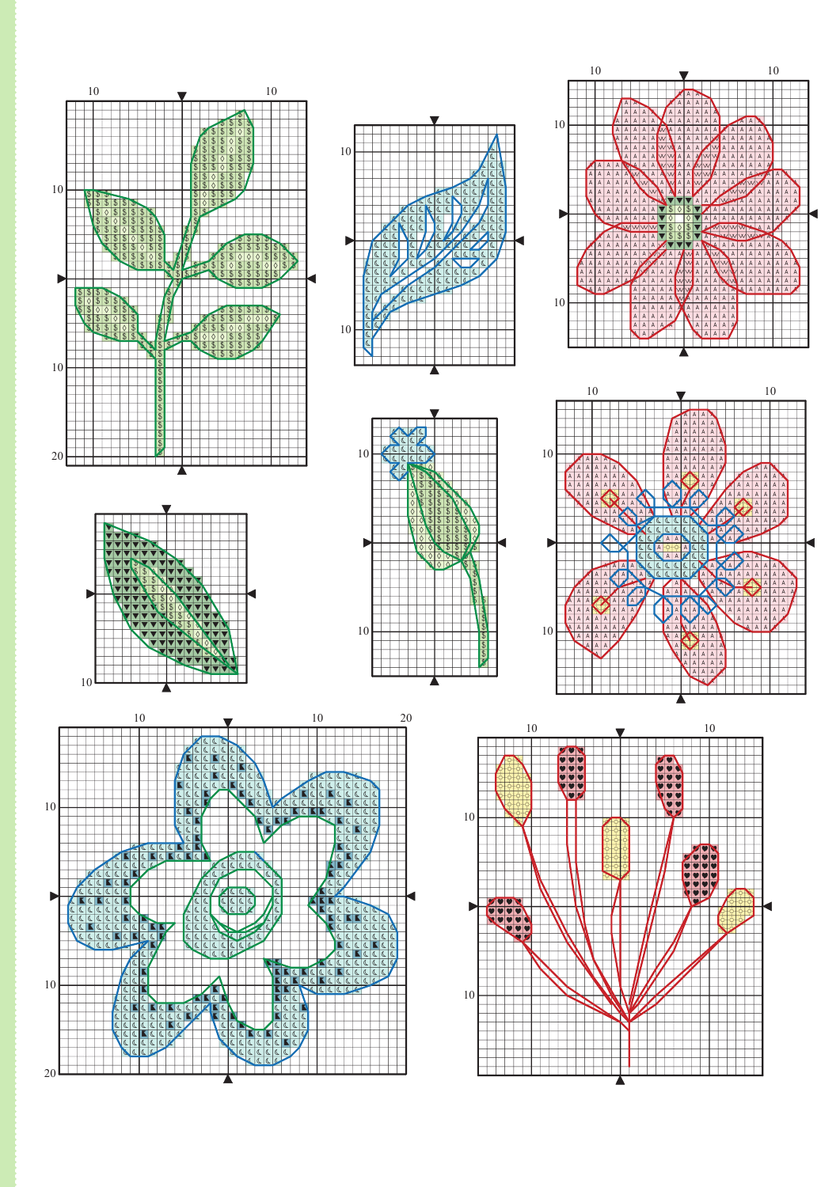